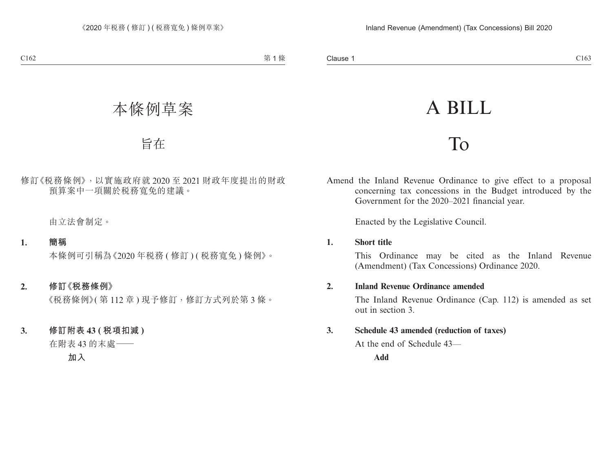# A BILL

## To

Amend the Inland Revenue Ordinance to give effect to a proposal concerning tax concessions in the Budget introduced by the Government for the 2020–2021 financial year.

Enacted by the Legislative Council.

### **1. Short title**

This Ordinance may be cited as the Inland Revenue (Amendment) (Tax Concessions) Ordinance 2020.

### **2. Inland Revenue Ordinance amended**

The Inland Revenue Ordinance (Cap. 112) is amended as set out in section 3.

### **3. Schedule 43 amended (reduction of taxes)**

At the end of Schedule 43—

**Add**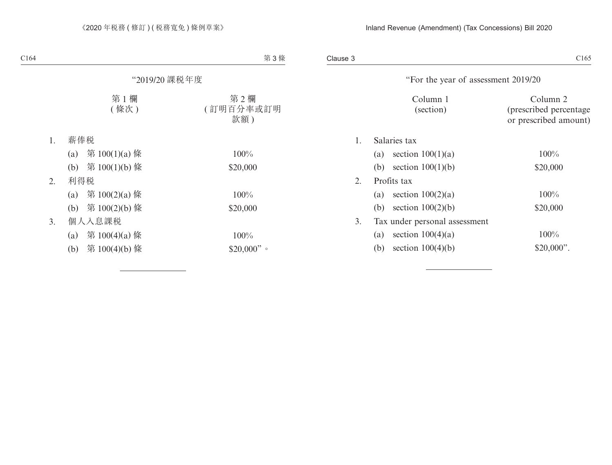Clause 3 Clause 3  $C165$ 

|    | "For the year of assessment 2019/20 |                         |                                                             |
|----|-------------------------------------|-------------------------|-------------------------------------------------------------|
|    |                                     | Column 1<br>(section)   | Column 2<br>(prescribed percentage<br>or prescribed amount) |
| 1. | Salaries tax                        |                         |                                                             |
|    | (a)                                 | section $100(1)(a)$     | $100\%$                                                     |
|    | (b)                                 | section $100(1)(b)$     | \$20,000                                                    |
| 2. | Profits tax                         |                         |                                                             |
|    |                                     | (a) section $100(2)(a)$ | $100\%$                                                     |
|    | (b)                                 | section $100(2)(b)$     | \$20,000                                                    |
| 3. | Tax under personal assessment       |                         |                                                             |
|    | (a)                                 | section $100(4)(a)$     | $100\%$                                                     |
|    | (b)                                 | section $100(4)(b)$     | $$20,000$ ".                                                |